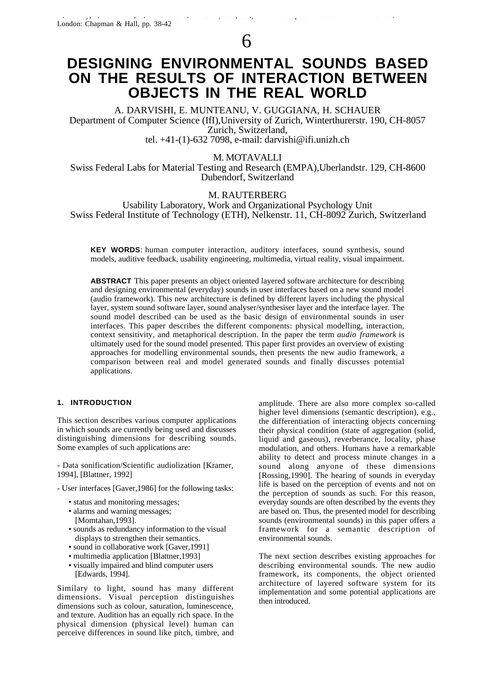# **DESIGNING ENVIRONMENTAL SOUNDS BASED ON THE RESULTS OF INTERACTION BETWEEN OBJECTS IN THE REAL WORLD**

A. DARVISHI, E. MUNTEANU, V. GUGGIANA, H. SCHAUER Department of Computer Science (IfI),University of Zurich, Winterthurerstr. 190, CH-8057 Zurich, Switzerland, tel. +41-(1)-632 7098, e-mail: darvishi@ifi.unizh.ch

# M. MOTAVALLI

Swiss Federal Labs for Material Testing and Research (EMPA),Uberlandstr. 129, CH-8600 Dubendorf, Switzerland

# M. RAUTERBERG

Usability Laboratory, Work and Organizational Psychology Unit Swiss Federal Institute of Technology (ETH), Nelkenstr. 11, CH-8092 Zurich, Switzerland

**KEY WORDS**: human computer interaction, auditory interfaces, sound synthesis, sound models, auditive feedback, usability engineering, multimedia, virtual reality, visual impairment.

**ABSTRACT** This paper presents an object oriented layered software architecture for describing and designing environmental (everyday) sounds in user interfaces based on a new sound model (audio framework). This new architecture is defined by different layers including the physical layer, system sound software layer, sound analyser/synthesiser layer and the interface layer. The sound model described can be used as the basic design of environmental sounds in user interfaces. This paper describes the different components: physical modelling, interaction, context sensitivity, and metaphorical description. In the paper the term *audio framework* is ultimately used for the sound model presented. This paper first provides an overview of existing approaches for modelling environmental sounds, then presents the new audio framework, a comparison between real and model generated sounds and finally discusses potential applications.

# **1. INTRODUCTION**

This section describes various computer applications in which sounds are currently being used and discusses distinguishing dimensions for describing sounds. Some examples of such applications are:

- Data sonification/Scientific audiolization [Kramer, 1994], [Blattner, 1992]

- User interfaces [Gaver,1986] for the following tasks:
	- status and monitoring messages;
	- alarms and warning messages;
	- [Momtahan,1993].
	- sounds as redundancy information to the visual displays to strengthen their semantics.
	- sound in collaborative work [Gaver, 1991]
	- multimedia application [Blattner, 1993]
	- visually impaired and blind computer users [Edwards, 1994].

Similary to light, sound has many different dimensions. Visual perception distinguishes dimensions such as colour, saturation, luminescence, and texture. Audition has an equally rich space. In the physical dimension (physical level) human can perceive differences in sound like pitch, timbre, and

amplitude. There are also more complex so-called higher level dimensions (semantic description), e.g., the differentiation of interacting objects concerning their physical condition (state of aggregation (solid, liquid and gaseous), reverberance, locality, phase modulation, and others. Humans have a remarkable ability to detect and process minute changes in a sound along anyone of these dimensions [Rossing,1990]. The hearing of sounds in everyday life is based on the perception of events and not on the perception of sounds as such. For this reason, everyday sounds are often described by the events they are based on. Thus, the presented model for describing sounds (environmental sounds) in this paper offers a framework for a semantic description of environmental sounds.

The next section describes existing approaches for describing environmental sounds. The new audio framework, its components, the object oriented architecture of layered software system for its implementation and some potential applications are then introduced.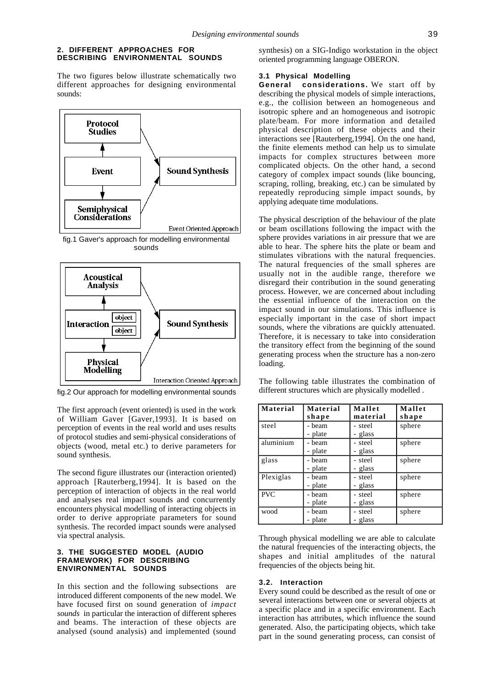# **2. DIFFERENT APPROACHES FOR DESCRIBING ENVIRONMENTAL SOUNDS**

The two figures below illustrate schematically two different approaches for designing environmental sounds:



fig.1 Gaver's approach for modelling environmental sounds



fig.2 Our approach for modelling environmental sounds

The first approach (event oriented) is used in the work of William Gaver [Gaver,1993]. It is based on perception of events in the real world and uses results of protocol studies and semi-physical considerations of objects (wood, metal etc.) to derive parameters for sound synthesis.

The second figure illustrates our (interaction oriented) approach [Rauterberg,1994]. It is based on the perception of interaction of objects in the real world and analyses real impact sounds and concurrently encounters physical modelling of interacting objects in order to derive appropriate parameters for sound synthesis. The recorded impact sounds were analysed via spectral analysis.

### **3. THE SUGGESTED MODEL (AUDIO FRAMEWORK) FOR DESCRIBING ENVIRONMENTAL SOUNDS**

In this section and the following subsections are introduced different components of the new model. We have focused first on sound generation of *impact sounds* in particular the interaction of different spheres and beams. The interaction of these objects are analysed (sound analysis) and implemented (sound synthesis) on a SIG-Indigo workstation in the object oriented programming language OBERON.

# **3.1 Physical Modelling**

**General considerations.** We start off by describing the physical models of simple interactions, e.g., the collision between an homogeneous and isotropic sphere and an homogeneous and isotropic plate/beam. For more information and detailed physical description of these objects and their interactions see [Rauterberg,1994]. On the one hand, the finite elements method can help us to simulate impacts for complex structures between more complicated objects. On the other hand, a second category of complex impact sounds (like bouncing, scraping, rolling, breaking, etc.) can be simulated by repeatedly reproducing simple impact sounds, by applying adequate time modulations.

The physical description of the behaviour of the plate or beam oscillations following the impact with the sphere provides variations in air pressure that we are able to hear. The sphere hits the plate or beam and stimulates vibrations with the natural frequencies. The natural frequencies of the small spheres are usually not in the audible range, therefore we disregard their contribution in the sound generating process. However, we are concerned about including the essential influence of the interaction on the impact sound in our simulations. This influence is especially important in the case of short impact sounds, where the vibrations are quickly attenuated. Therefore, it is necessary to take into consideration the transitory effect from the beginning of the sound generating process when the structure has a non-zero loading.

The following table illustrates the combination of different structures which are physically modelled .

| Material   | Material<br>shape | Mallet<br>material | Mallet<br>shape |
|------------|-------------------|--------------------|-----------------|
| steel      | - beam<br>plate   | - steel<br>- glass | sphere          |
| aluminium  | beam<br>plate     | - steel<br>glass   | sphere          |
| glass      | - beam<br>- plate | - steel<br>glass   | sphere          |
| Plexiglas  | - beam<br>plate   | - steel<br>glass   | sphere          |
| <b>PVC</b> | beam<br>plate     | - steel<br>glass   | sphere          |
| wood       | beam<br>- plate   | - steel<br>glass   | sphere          |

Through physical modelling we are able to calculate the natural frequencies of the interacting objects, the shapes and initial amplitudes of the natural frequencies of the objects being hit.

#### **3.2. Interaction**

Every sound could be described as the result of one or several interactions between one or several objects at a specific place and in a specific environment. Each interaction has attributes, which influence the sound generated. Also, the participating objects, which take part in the sound generating process, can consist of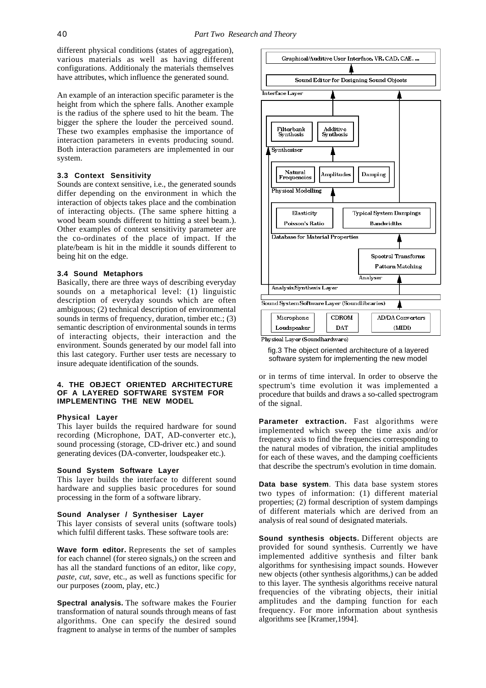different physical conditions (states of aggregation), various materials as well as having different configurations. Additionaly the materials themselves have attributes, which influence the generated sound.

An example of an interaction specific parameter is the height from which the sphere falls. Another example is the radius of the sphere used to hit the beam. The bigger the sphere the louder the perceived sound. These two examples emphasise the importance of interaction parameters in events producing sound. Both interaction parameters are implemented in our system.

## **3.3 Context Sensitivity**

Sounds are context sensitive, i.e., the generated sounds differ depending on the environment in which the interaction of objects takes place and the combination of interacting objects. (The same sphere hitting a wood beam sounds different to hitting a steel beam.). Other examples of context sensitivity parameter are the co-ordinates of the place of impact. If the plate/beam is hit in the middle it sounds different to being hit on the edge.

# **3.4 Sound Metaphors**

Basically, there are three ways of describing everyday sounds on a metaphorical level: (1) linguistic description of everyday sounds which are often ambiguous; (2) technical description of environmental sounds in terms of frequency, duration, timber etc.; (3) semantic description of environmental sounds in terms of interacting objects, their interaction and the environment. Sounds generated by our model fall into this last category. Further user tests are necessary to insure adequate identification of the sounds.

# **4. THE OBJECT ORIENTED ARCHITECTURE OF A LAYERED SOFTWARE SYSTEM FOR IMPLEMENTING THE NEW MODEL**

#### **Physical Layer**

This layer builds the required hardware for sound recording (Microphone, DAT, AD-converter etc.), sound processing (storage, CD-driver etc.) and sound generating devices (DA-converter, loudspeaker etc.).

# **Sound System Software Layer**

This layer builds the interface to different sound hardware and supplies basic procedures for sound processing in the form of a software library.

## **Sound Analyser / Synthesiser Layer**

This layer consists of several units (software tools) which fulfil different tasks. These software tools are:

**Wave form editor.** Represents the set of samples for each channel (for stereo signals,) on the screen and has all the standard functions of an editor, like *copy, paste, cut, save*, etc., as well as functions specific for our purposes (zoom, play, etc.)

**Spectral analysis.** The software makes the Fourier transformation of natural sounds through means of fast algorithms. One can specify the desired sound fragment to analyse in terms of the number of samples



Physical Layer (Soundhardware)

fig.3 The object oriented architecture of a layered software system for implementing the new model

or in terms of time interval. In order to observe the spectrum's time evolution it was implemented a procedure that builds and draws a so-called spectrogram of the signal.

Parameter extraction. Fast algorithms were implemented which sweep the time axis and/or frequency axis to find the frequencies corresponding to the natural modes of vibration, the initial amplitudes for each of these waves, and the damping coefficients that describe the spectrum's evolution in time domain.

**Data base system**. This data base system stores two types of information: (1) different material properties; (2) formal description of system dampings of different materials which are derived from an analysis of real sound of designated materials.

**Sound synthesis objects.** Different objects are provided for sound synthesis. Currently we have implemented additive synthesis and filter bank algorithms for synthesising impact sounds. However new objects (other synthesis algorithms,) can be added to this layer. The synthesis algorithms receive natural frequencies of the vibrating objects, their initial amplitudes and the damping function for each frequency. For more information about synthesis algorithms see [Kramer,1994].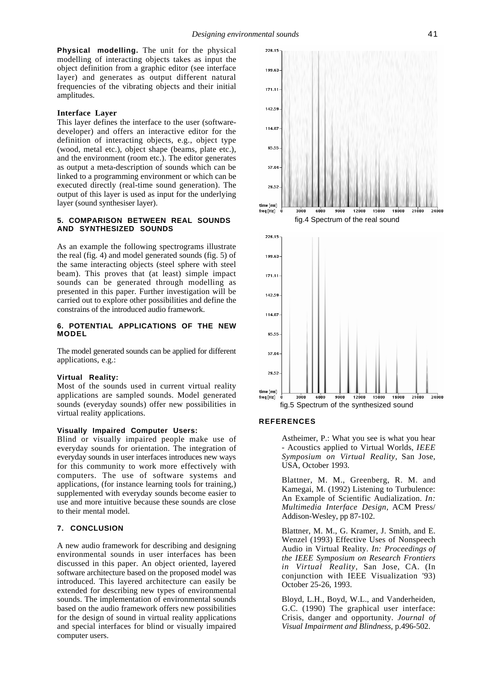**Physical modelling.** The unit for the physical modelling of interacting objects takes as input the object definition from a graphic editor (see interface layer) and generates as output different natural frequencies of the vibrating objects and their initial amplitudes.

# **Interface Layer**

This layer defines the interface to the user (softwaredeveloper) and offers an interactive editor for the definition of interacting objects, e.g., object type (wood, metal etc.), object shape (beams, plate etc.), and the environment (room etc.). The editor generates as output a meta-description of sounds which can be linked to a programming environment or which can be executed directly (real-time sound generation). The output of this layer is used as input for the underlying layer (sound synthesiser layer).

# **5. COMPARISON BETWEEN REAL SOUNDS AND SYNTHESIZED SOUNDS**

As an example the following spectrograms illustrate the real (fig. 4) and model generated sounds (fig. 5) of the same interacting objects (steel sphere with steel beam). This proves that (at least) simple impact sounds can be generated through modelling as presented in this paper. Further investigation will be carried out to explore other possibilities and define the constrains of the introduced audio framework.

# **6. POTENTIAL APPLICATIONS OF THE NEW MODEL**

The model generated sounds can be applied for different applications, e.g.:

#### **Virtual Reality:**

Most of the sounds used in current virtual reality applications are sampled sounds. Model generated sounds (everyday sounds) offer new possibilities in virtual reality applications.

#### **Visually Impaired Computer Users:**

Blind or visually impaired people make use of everyday sounds for orientation. The integration of everyday sounds in user interfaces introduces new ways for this community to work more effectively with computers. The use of software systems and applications, (for instance learning tools for training,) supplemented with everyday sounds become easier to use and more intuitive because these sounds are close to their mental model.

#### **7. CONCLUSION**

A new audio framework for describing and designing environmental sounds in user interfaces has been discussed in this paper. An object oriented, layered software architecture based on the proposed model was introduced. This layered architecture can easily be extended for describing new types of environmental sounds. The implementation of environmental sounds based on the audio framework offers new possibilities for the design of sound in virtual reality applications and special interfaces for blind or visually impaired computer users.





#### **REFERENCES**

142.59

114.07

\$5.55

57.04

28.52

time [ms]<br>freq [Hz]

Astheimer, P.: What you see is what you hear - Acoustics applied to Virtual Worlds, *IEEE Symposium on Virtual Reality,* San Jose, USA, October 1993.

15000

Blattner, M. M., Greenberg, R. M. and Kamegai, M. (1992) Listening to Turbulence: An Example of Scientific Audialization. *In: Multimedia Interface Design,* ACM Press/ Addison-Wesley, pp 87-102.

Blattner, M. M., G. Kramer, J. Smith, and E. Wenzel (1993) Effective Uses of Nonspeech Audio in Virtual Reality. *In: Proceedings of the IEEE Symposium on Research Frontiers in Virtual Reality,* San Jose, CA. (In conjunction with IEEE Visualization '93) October 25-26, 1993.

Bloyd, L.H., Boyd, W.L., and Vanderheiden, G.C. (1990) The graphical user interface: Crisis, danger and opportunity. *Journal of Visual Impairment and Blindness*, p.496-502.

 $\overline{24000}$